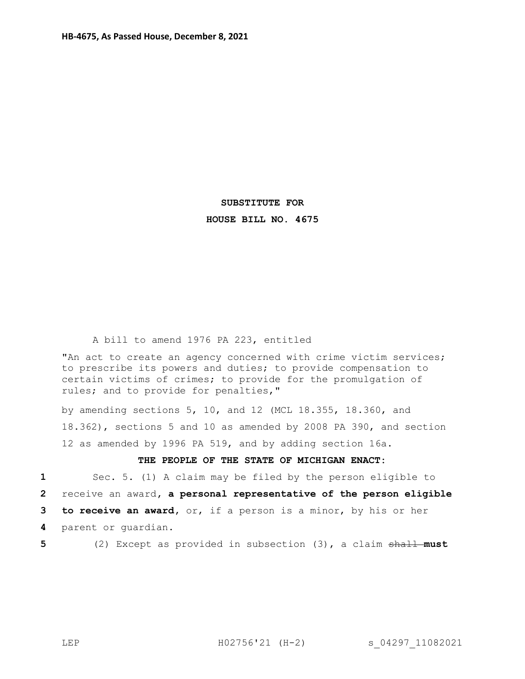## **SUBSTITUTE FOR HOUSE BILL NO. 4675**

A bill to amend 1976 PA 223, entitled

"An act to create an agency concerned with crime victim services; to prescribe its powers and duties; to provide compensation to certain victims of crimes; to provide for the promulgation of rules; and to provide for penalties,"

by amending sections 5, 10, and 12 (MCL 18.355, 18.360, and 18.362), sections 5 and 10 as amended by 2008 PA 390, and section 12 as amended by 1996 PA 519, and by adding section 16a.

## **THE PEOPLE OF THE STATE OF MICHIGAN ENACT:**

 Sec. 5. (1) A claim may be filed by the person eligible to receive an award**, a personal representative of the person eligible to receive an award,** or, if a person is a minor, by his or her parent or guardian.

**5** (2) Except as provided in subsection (3), a claim shall **must**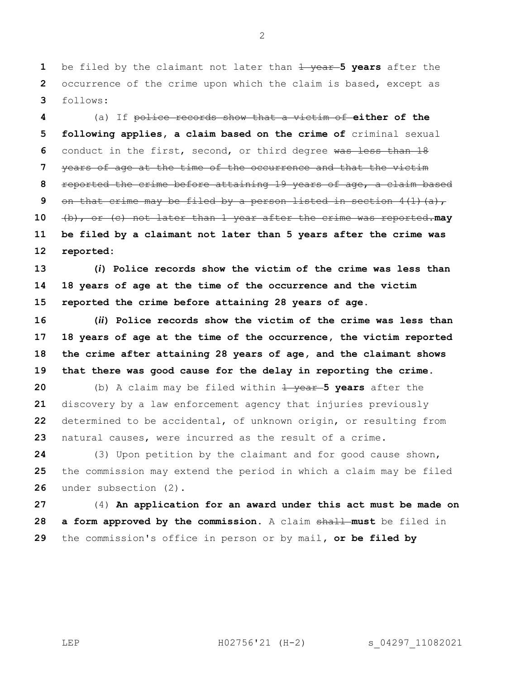1 be filed by the claimant not later than  $\frac{1}{1}$  vear-5 years after the occurrence of the crime upon which the claim is based, except as follows:

 (a) If police records show that a victim of **either of the following applies, a claim based on the crime of** criminal sexual conduct in the first, second, or third degree was less than 18 years of age at the time of the occurrence and that the victim reported the crime before attaining 19 years of age, a claim based on that crime may be filed by a person listed in section 4(1)(a), (b), or (c) not later than 1 year after the crime was reported.**may be filed by a claimant not later than 5 years after the crime was reported:** 

 **(***i***) Police records show the victim of the crime was less than 18 years of age at the time of the occurrence and the victim reported the crime before attaining 28 years of age.**

 **(***ii***) Police records show the victim of the crime was less than 18 years of age at the time of the occurrence, the victim reported the crime after attaining 28 years of age, and the claimant shows that there was good cause for the delay in reporting the crime.**

 (b) A claim may be filed within  $\frac{1}{2}$  **years** after the discovery by a law enforcement agency that injuries previously determined to be accidental, of unknown origin, or resulting from natural causes, were incurred as the result of a crime.

 (3) Upon petition by the claimant and for good cause shown, the commission may extend the period in which a claim may be filed under subsection (2).

 (4) **An application for an award under this act must be made on a form approved by the commission.** A claim shall **must** be filed in the commission's office in person or by mail**, or be filed by** 

LEP H02756'21 (H-2) s 04297 11082021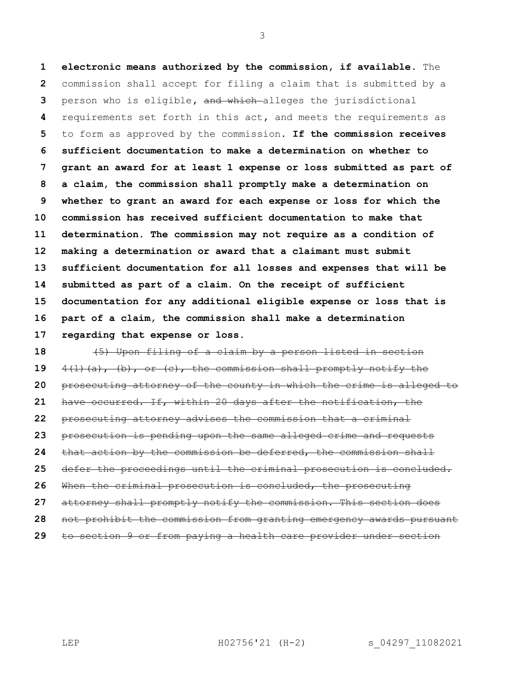**electronic means authorized by the commission, if available**. The commission shall accept for filing a claim that is submitted by a person who is eligible**,** and which alleges the jurisdictional requirements set forth in this act**,** and meets the requirements as to form as approved by the commission. **If the commission receives sufficient documentation to make a determination on whether to grant an award for at least 1 expense or loss submitted as part of a claim, the commission shall promptly make a determination on whether to grant an award for each expense or loss for which the commission has received sufficient documentation to make that determination. The commission may not require as a condition of making a determination or award that a claimant must submit sufficient documentation for all losses and expenses that will be submitted as part of a claim. On the receipt of sufficient documentation for any additional eligible expense or loss that is part of a claim, the commission shall make a determination regarding that expense or loss.**

 (5) Upon filing of a claim by a person listed in section 4(1)(a), (b), or (c), the commission shall promptly notify the prosecuting attorney of the county in which the crime is alleged to have occurred. If, within 20 days after the notification, the prosecuting attorney advises the commission that a criminal prosecution is pending upon the same alleged crime and requests that action by the commission be deferred, the commission shall defer the proceedings until the criminal prosecution is concluded. When the criminal prosecution is concluded, the prosecuting attorney shall promptly notify the commission. This section does not prohibit the commission from granting emergency awards pursuant to section 9 or from paying a health care provider under section

LEP H02756'21 (H-2) s 04297 11082021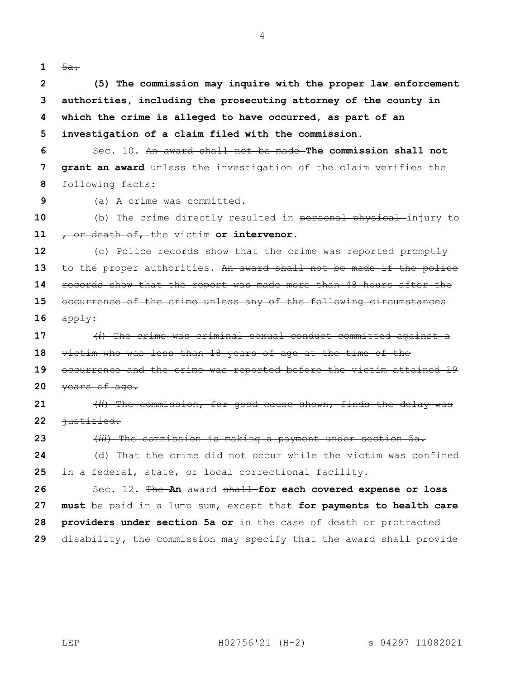**1**  $\frac{5a}{ }$ 

 **(5) The commission may inquire with the proper law enforcement authorities, including the prosecuting attorney of the county in which the crime is alleged to have occurred, as part of an investigation of a claim filed with the commission.**

 Sec. 10. An award shall not be made **The commission shall not grant an award** unless the investigation of the claim verifies the following facts:

(a) A crime was committed.

10 (b) The crime directly resulted in personal physical injury to , or death of, the victim **or intervenor**.

 (c) Police records show that the crime was reported promptly 13 to the proper authorities. An award shall not be made if the police records show that the report was made more than 48 hours after the occurrence of the crime unless any of the following circumstances  $app \frac{1}{4}$ 

 (*i*) The crime was criminal sexual conduct committed against a victim who was less than 18 years of age at the time of the occurrence and the crime was reported before the victim attained 19 years of age.

 (*ii*) The commission, for good cause shown, finds the delay was 22 <del>justified.</del>

(*iii*) The commission is making a payment under section 5a.

 (d) That the crime did not occur while the victim was confined in a federal, state, or local correctional facility.

 Sec. 12. The **An** award shall **for each covered expense or loss must** be paid in a lump sum, except that **for payments to health care providers under section 5a or** in the case of death or protracted disability**,** the commission may specify that the award shall provide